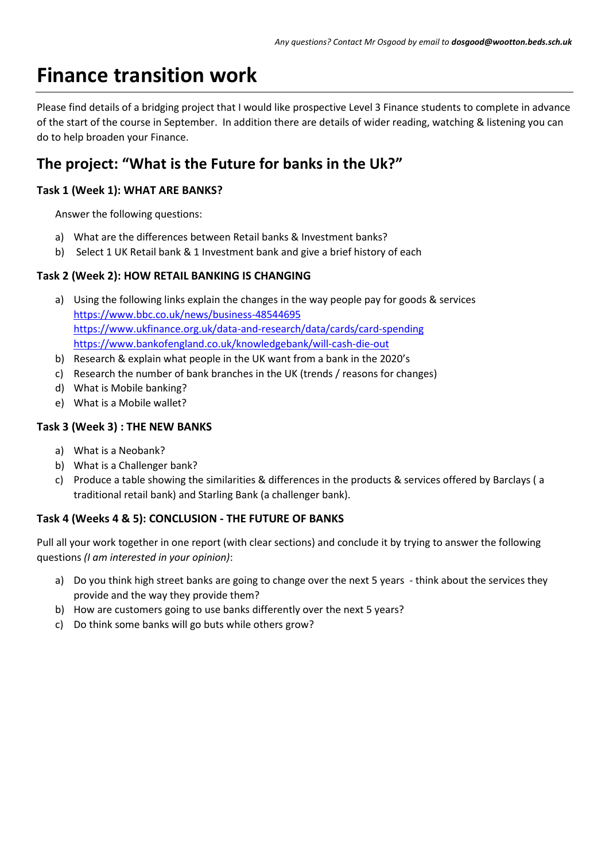# **Finance transition work**

Please find details of a bridging project that I would like prospective Level 3 Finance students to complete in advance of the start of the course in September. In addition there are details of wider reading, watching & listening you can do to help broaden your Finance.

# **The project: "What is the Future for banks in the Uk?"**

#### **Task 1 (Week 1): WHAT ARE BANKS?**

Answer the following questions:

- a) What are the differences between Retail banks & Investment banks?
- b) Select 1 UK Retail bank & 1 Investment bank and give a brief history of each

#### **Task 2 (Week 2): HOW RETAIL BANKING IS CHANGING**

- a) Using the following links explain the changes in the way people pay for goods & services <https://www.bbc.co.uk/news/business-48544695> <https://www.ukfinance.org.uk/data-and-research/data/cards/card-spending> <https://www.bankofengland.co.uk/knowledgebank/will-cash-die-out>
- b) Research & explain what people in the UK want from a bank in the 2020's
- c) Research the number of bank branches in the UK (trends / reasons for changes)
- d) What is Mobile banking?
- e) What is a Mobile wallet?

#### **Task 3 (Week 3) : THE NEW BANKS**

- a) What is a Neobank?
- b) What is a Challenger bank?
- c) Produce a table showing the similarities & differences in the products & services offered by Barclays ( a traditional retail bank) and Starling Bank (a challenger bank).

#### **Task 4 (Weeks 4 & 5): CONCLUSION - THE FUTURE OF BANKS**

Pull all your work together in one report (with clear sections) and conclude it by trying to answer the following questions *(I am interested in your opinion)*:

- a) Do you think high street banks are going to change over the next 5 years think about the services they provide and the way they provide them?
- b) How are customers going to use banks differently over the next 5 years?
- c) Do think some banks will go buts while others grow?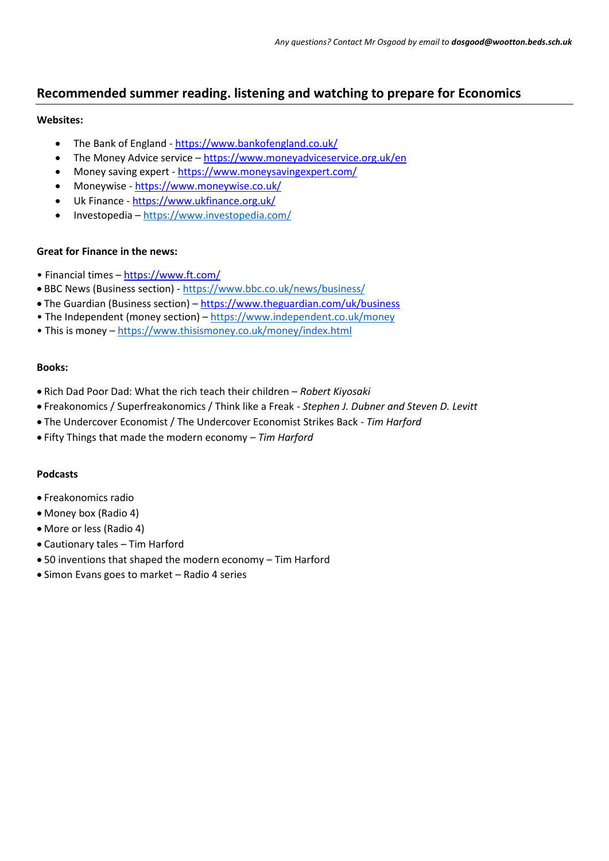### **Recommended summer reading. listening and watching to prepare for Economics**

#### **Websites:**

- The Bank of England <https://www.bankofengland.co.uk/>
- The Money Advice service <https://www.moneyadviceservice.org.uk/en>
- Money saving expert <https://www.moneysavingexpert.com/>
- Moneywise <https://www.moneywise.co.uk/>
- Uk Finance <https://www.ukfinance.org.uk/>
- Investopedia <https://www.investopedia.com/>

#### **Great for Finance in the news:**

- Financial times <https://www.ft.com/>
- BBC News (Business section) <https://www.bbc.co.uk/news/business/>
- The Guardian (Business section) <https://www.theguardian.com/uk/business>
- The Independent (money section) <https://www.independent.co.uk/money>
- This is money <https://www.thisismoney.co.uk/money/index.html>

#### **Books:**

- Rich Dad Poor Dad: What the rich teach their children *Robert Kiyosaki*
- Freakonomics / Superfreakonomics / Think like a Freak *Stephen J. Dubner and Steven D. Levitt*
- The Undercover Economist / The Undercover Economist Strikes Back *Tim Harford*
- Fifty Things that made the modern economy *Tim Harford*

#### **Podcasts**

- Freakonomics radio
- Money box (Radio 4)
- More or less (Radio 4)
- Cautionary tales Tim Harford
- 50 inventions that shaped the modern economy Tim Harford
- Simon Evans goes to market Radio 4 series